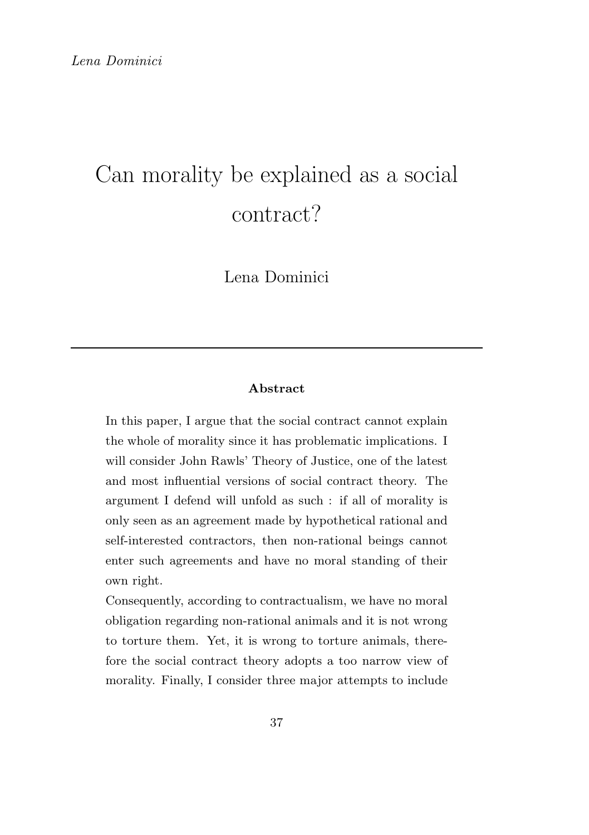# Can morality be explained as a social contract?

Lena Dominici

#### Abstract

In this paper, I argue that the social contract cannot explain the whole of morality since it has problematic implications. I will consider John Rawls' Theory of Justice, one of the latest and most influential versions of social contract theory. The argument I defend will unfold as such : if all of morality is only seen as an agreement made by hypothetical rational and self-interested contractors, then non-rational beings cannot enter such agreements and have no moral standing of their own right.

Consequently, according to contractualism, we have no moral obligation regarding non-rational animals and it is not wrong to torture them. Yet, it is wrong to torture animals, therefore the social contract theory adopts a too narrow view of morality. Finally, I consider three major attempts to include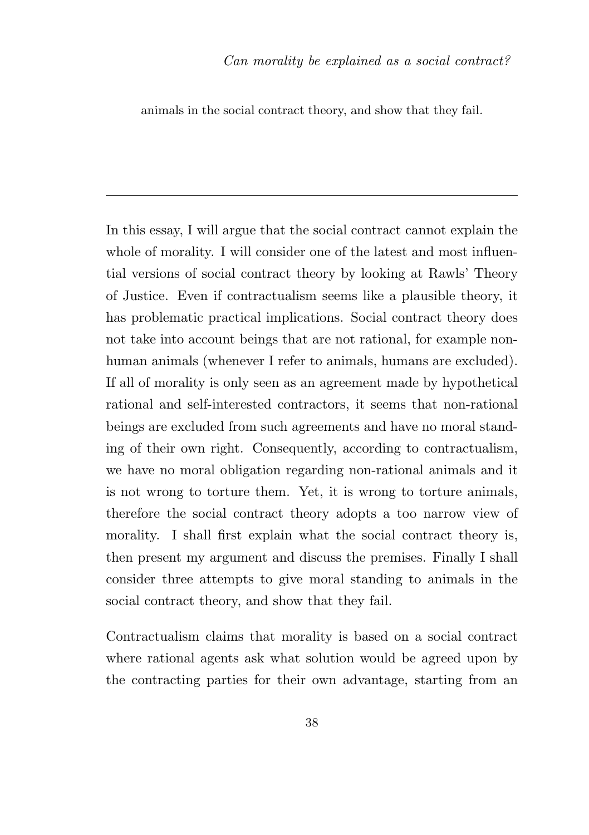animals in the social contract theory, and show that they fail.

In this essay, I will argue that the social contract cannot explain the whole of morality. I will consider one of the latest and most influential versions of social contract theory by looking at Rawls' Theory of Justice. Even if contractualism seems like a plausible theory, it has problematic practical implications. Social contract theory does not take into account beings that are not rational, for example nonhuman animals (whenever I refer to animals, humans are excluded). If all of morality is only seen as an agreement made by hypothetical rational and self-interested contractors, it seems that non-rational beings are excluded from such agreements and have no moral standing of their own right. Consequently, according to contractualism, we have no moral obligation regarding non-rational animals and it is not wrong to torture them. Yet, it is wrong to torture animals, therefore the social contract theory adopts a too narrow view of morality. I shall first explain what the social contract theory is, then present my argument and discuss the premises. Finally I shall consider three attempts to give moral standing to animals in the social contract theory, and show that they fail.

Contractualism claims that morality is based on a social contract where rational agents ask what solution would be agreed upon by the contracting parties for their own advantage, starting from an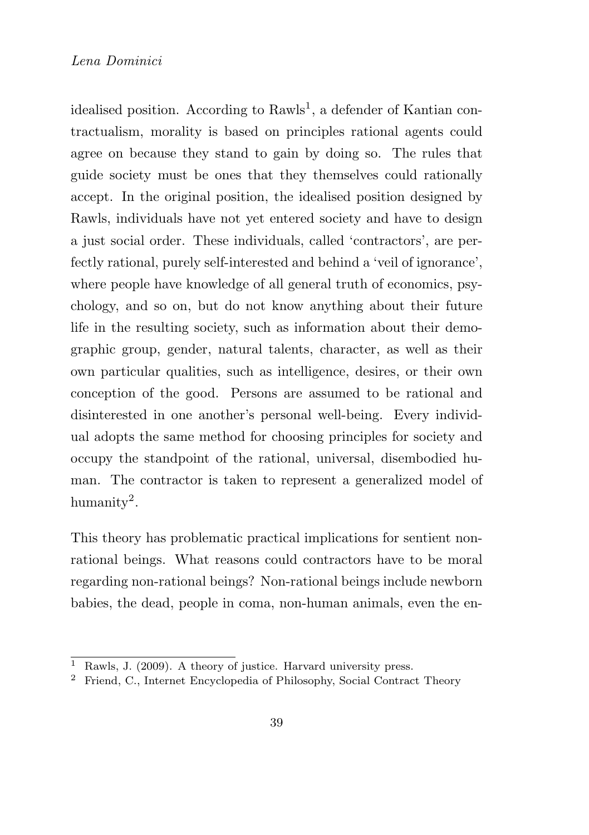idealised position. According to Rawls<sup>1</sup>, a defender of Kantian contractualism, morality is based on principles rational agents could agree on because they stand to gain by doing so. The rules that guide society must be ones that they themselves could rationally accept. In the original position, the idealised position designed by Rawls, individuals have not yet entered society and have to design a just social order. These individuals, called 'contractors', are perfectly rational, purely self-interested and behind a 'veil of ignorance', where people have knowledge of all general truth of economics, psychology, and so on, but do not know anything about their future life in the resulting society, such as information about their demographic group, gender, natural talents, character, as well as their own particular qualities, such as intelligence, desires, or their own conception of the good. Persons are assumed to be rational and disinterested in one another's personal well-being. Every individual adopts the same method for choosing principles for society and occupy the standpoint of the rational, universal, disembodied human. The contractor is taken to represent a generalized model of humanity<sup>2</sup>.

This theory has problematic practical implications for sentient nonrational beings. What reasons could contractors have to be moral regarding non-rational beings? Non-rational beings include newborn babies, the dead, people in coma, non-human animals, even the en-

Rawls, J. (2009). A theory of justice. Harvard university press.

<sup>2</sup> Friend, C., Internet Encyclopedia of Philosophy, Social Contract Theory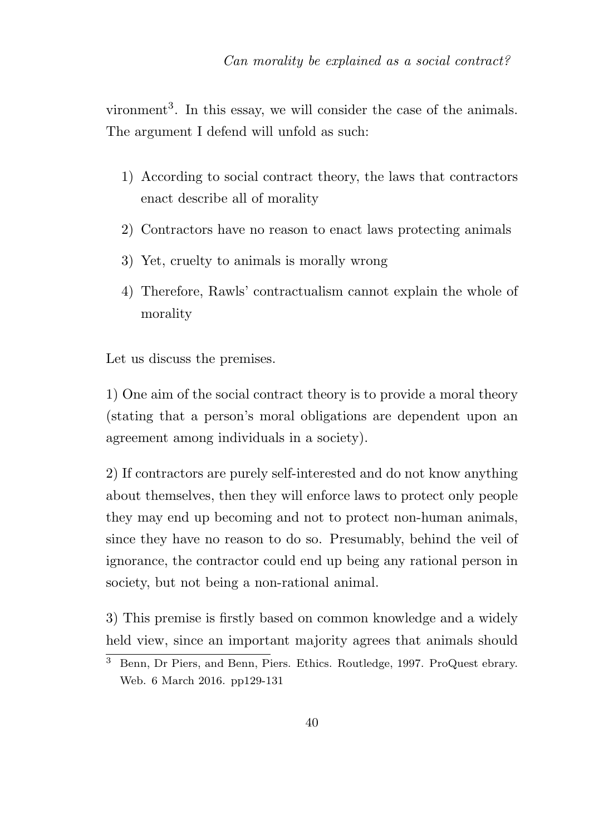vironment<sup>3</sup>. In this essay, we will consider the case of the animals. The argument I defend will unfold as such:

- 1) According to social contract theory, the laws that contractors enact describe all of morality
- 2) Contractors have no reason to enact laws protecting animals
- 3) Yet, cruelty to animals is morally wrong
- 4) Therefore, Rawls' contractualism cannot explain the whole of morality

Let us discuss the premises.

1) One aim of the social contract theory is to provide a moral theory (stating that a person's moral obligations are dependent upon an agreement among individuals in a society).

2) If contractors are purely self-interested and do not know anything about themselves, then they will enforce laws to protect only people they may end up becoming and not to protect non-human animals, since they have no reason to do so. Presumably, behind the veil of ignorance, the contractor could end up being any rational person in society, but not being a non-rational animal.

3) This premise is firstly based on common knowledge and a widely held view, since an important majority agrees that animals should

<sup>&</sup>lt;sup>3</sup> Benn, Dr Piers, and Benn, Piers. Ethics. Routledge, 1997. ProQuest ebrary. Web. 6 March 2016. pp129-131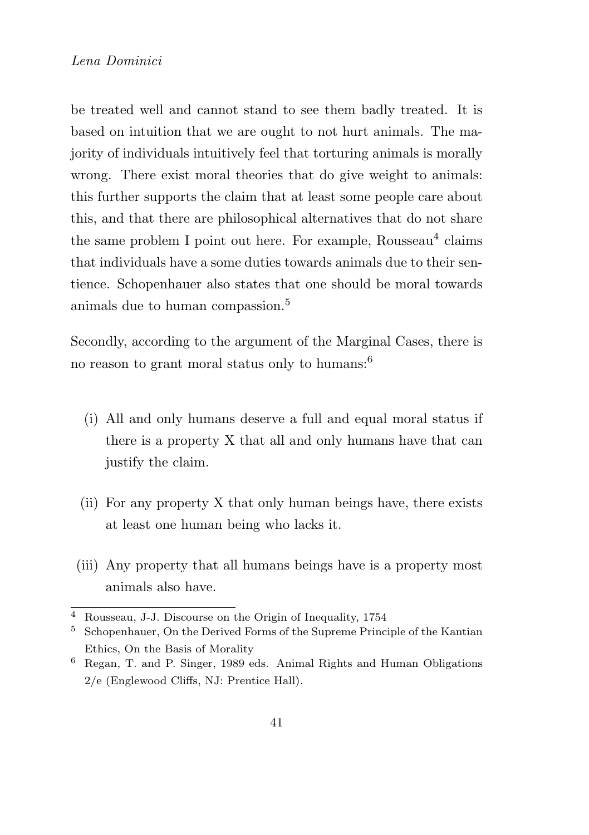be treated well and cannot stand to see them badly treated. It is based on intuition that we are ought to not hurt animals. The majority of individuals intuitively feel that torturing animals is morally wrong. There exist moral theories that do give weight to animals: this further supports the claim that at least some people care about this, and that there are philosophical alternatives that do not share the same problem I point out here. For example, Rousseau<sup>4</sup> claims that individuals have a some duties towards animals due to their sentience. Schopenhauer also states that one should be moral towards animals due to human compassion.<sup>5</sup>

Secondly, according to the argument of the Marginal Cases, there is no reason to grant moral status only to humans:<sup>6</sup>

- (i) All and only humans deserve a full and equal moral status if there is a property X that all and only humans have that can justify the claim.
- (ii) For any property X that only human beings have, there exists at least one human being who lacks it.
- (iii) Any property that all humans beings have is a property most animals also have.

<sup>4</sup> Rousseau, J-J. Discourse on the Origin of Inequality, 1754

<sup>5</sup> Schopenhauer, On the Derived Forms of the Supreme Principle of the Kantian Ethics, On the Basis of Morality

<sup>6</sup> Regan, T. and P. Singer, 1989 eds. Animal Rights and Human Obligations 2/e (Englewood Cliffs, NJ: Prentice Hall).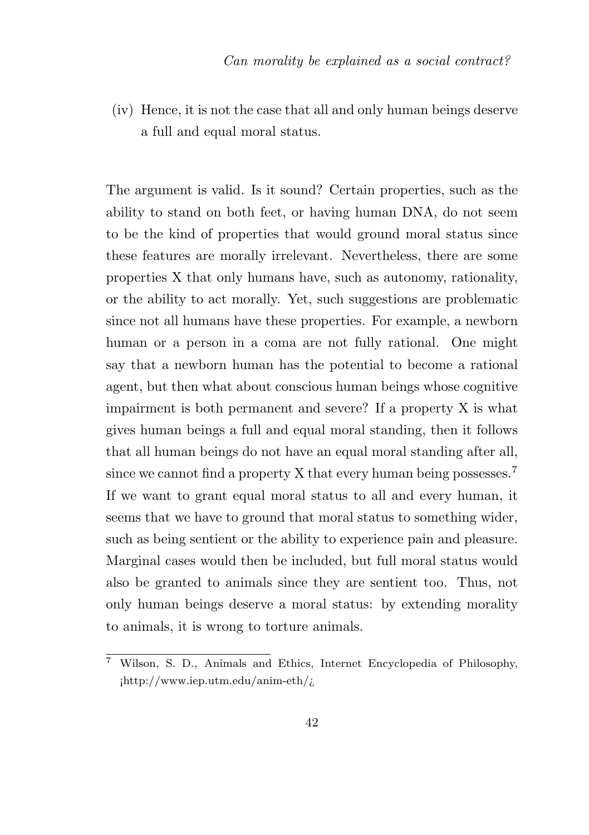(iv) Hence, it is not the case that all and only human beings deserve a full and equal moral status.

The argument is valid. Is it sound? Certain properties, such as the ability to stand on both feet, or having human DNA, do not seem to be the kind of properties that would ground moral status since these features are morally irrelevant. Nevertheless, there are some properties X that only humans have, such as autonomy, rationality, or the ability to act morally. Yet, such suggestions are problematic since not all humans have these properties. For example, a newborn human or a person in a coma are not fully rational. One might say that a newborn human has the potential to become a rational agent, but then what about conscious human beings whose cognitive impairment is both permanent and severe? If a property X is what gives human beings a full and equal moral standing, then it follows that all human beings do not have an equal moral standing after all, since we cannot find a property X that every human being possesses.<sup>7</sup> If we want to grant equal moral status to all and every human, it seems that we have to ground that moral status to something wider, such as being sentient or the ability to experience pain and pleasure. Marginal cases would then be included, but full moral status would also be granted to animals since they are sentient too. Thus, not only human beings deserve a moral status: by extending morality to animals, it is wrong to torture animals.

<sup>7</sup> Wilson, S. D., Animals and Ethics, Internet Encyclopedia of Philosophy, ¡http://www.iep.utm.edu/anim-eth/¿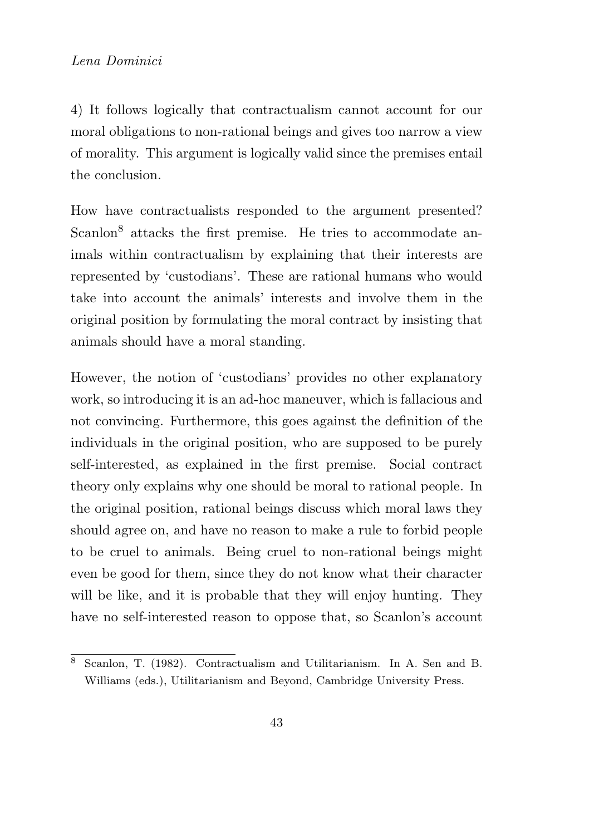4) It follows logically that contractualism cannot account for our moral obligations to non-rational beings and gives too narrow a view of morality. This argument is logically valid since the premises entail the conclusion.

How have contractualists responded to the argument presented? Scanlon<sup>8</sup> attacks the first premise. He tries to accommodate animals within contractualism by explaining that their interests are represented by 'custodians'. These are rational humans who would take into account the animals' interests and involve them in the original position by formulating the moral contract by insisting that animals should have a moral standing.

However, the notion of 'custodians' provides no other explanatory work, so introducing it is an ad-hoc maneuver, which is fallacious and not convincing. Furthermore, this goes against the definition of the individuals in the original position, who are supposed to be purely self-interested, as explained in the first premise. Social contract theory only explains why one should be moral to rational people. In the original position, rational beings discuss which moral laws they should agree on, and have no reason to make a rule to forbid people to be cruel to animals. Being cruel to non-rational beings might even be good for them, since they do not know what their character will be like, and it is probable that they will enjoy hunting. They have no self-interested reason to oppose that, so Scanlon's account

<sup>8</sup> Scanlon, T. (1982). Contractualism and Utilitarianism. In A. Sen and B. Williams (eds.), Utilitarianism and Beyond, Cambridge University Press.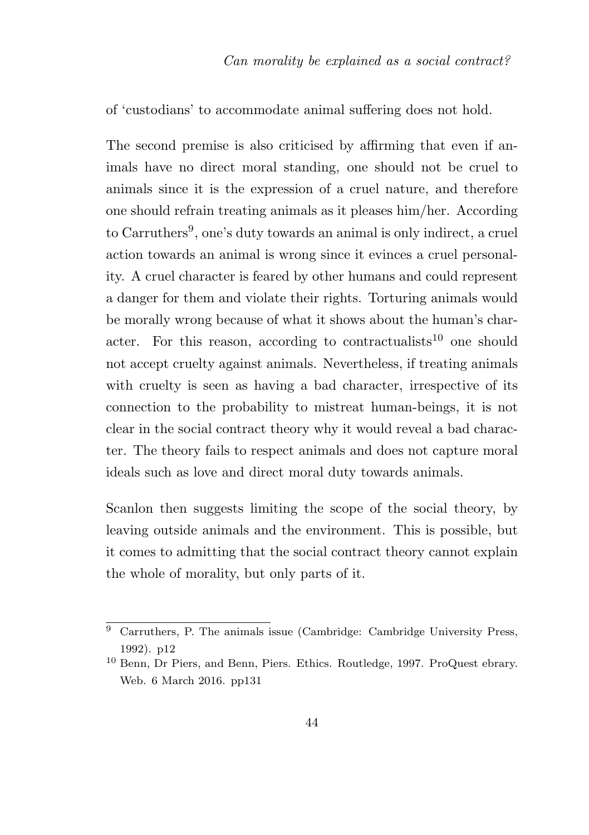of 'custodians' to accommodate animal suffering does not hold.

The second premise is also criticised by affirming that even if animals have no direct moral standing, one should not be cruel to animals since it is the expression of a cruel nature, and therefore one should refrain treating animals as it pleases him/her. According to Carruthers<sup>9</sup>, one's duty towards an animal is only indirect, a cruel action towards an animal is wrong since it evinces a cruel personality. A cruel character is feared by other humans and could represent a danger for them and violate their rights. Torturing animals would be morally wrong because of what it shows about the human's character. For this reason, according to contractualists<sup>10</sup> one should not accept cruelty against animals. Nevertheless, if treating animals with cruelty is seen as having a bad character, irrespective of its connection to the probability to mistreat human-beings, it is not clear in the social contract theory why it would reveal a bad character. The theory fails to respect animals and does not capture moral ideals such as love and direct moral duty towards animals.

Scanlon then suggests limiting the scope of the social theory, by leaving outside animals and the environment. This is possible, but it comes to admitting that the social contract theory cannot explain the whole of morality, but only parts of it.

 $9$  Carruthers, P. The animals issue (Cambridge: Cambridge University Press, 1992). p12

<sup>10</sup> Benn, Dr Piers, and Benn, Piers. Ethics. Routledge, 1997. ProQuest ebrary. Web. 6 March 2016. pp131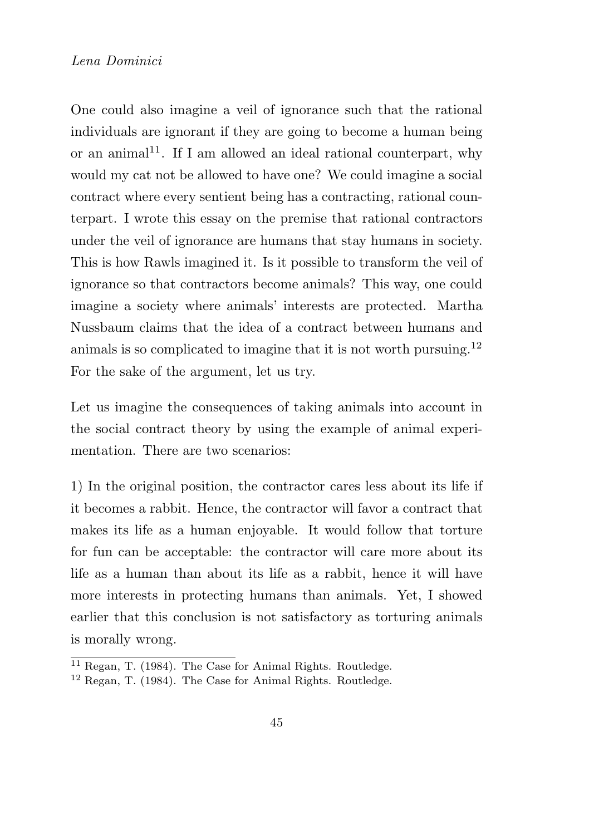One could also imagine a veil of ignorance such that the rational individuals are ignorant if they are going to become a human being or an animal<sup>11</sup>. If I am allowed an ideal rational counterpart, why would my cat not be allowed to have one? We could imagine a social contract where every sentient being has a contracting, rational counterpart. I wrote this essay on the premise that rational contractors under the veil of ignorance are humans that stay humans in society. This is how Rawls imagined it. Is it possible to transform the veil of ignorance so that contractors become animals? This way, one could imagine a society where animals' interests are protected. Martha Nussbaum claims that the idea of a contract between humans and animals is so complicated to imagine that it is not worth pursuing.<sup>12</sup> For the sake of the argument, let us try.

Let us imagine the consequences of taking animals into account in the social contract theory by using the example of animal experimentation. There are two scenarios:

1) In the original position, the contractor cares less about its life if it becomes a rabbit. Hence, the contractor will favor a contract that makes its life as a human enjoyable. It would follow that torture for fun can be acceptable: the contractor will care more about its life as a human than about its life as a rabbit, hence it will have more interests in protecting humans than animals. Yet, I showed earlier that this conclusion is not satisfactory as torturing animals is morally wrong.

<sup>11</sup> Regan, T. (1984). The Case for Animal Rights. Routledge.

<sup>12</sup> Regan, T. (1984). The Case for Animal Rights. Routledge.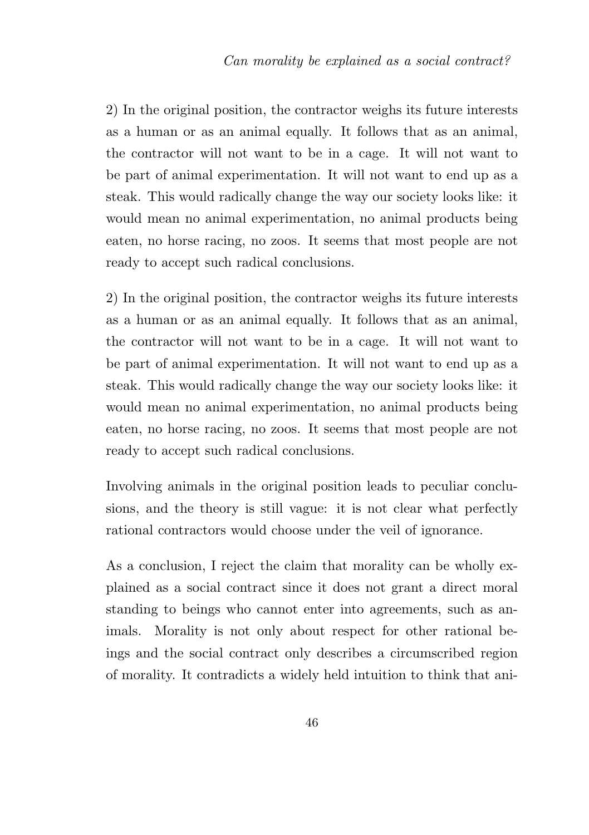2) In the original position, the contractor weighs its future interests as a human or as an animal equally. It follows that as an animal, the contractor will not want to be in a cage. It will not want to be part of animal experimentation. It will not want to end up as a steak. This would radically change the way our society looks like: it would mean no animal experimentation, no animal products being eaten, no horse racing, no zoos. It seems that most people are not ready to accept such radical conclusions.

2) In the original position, the contractor weighs its future interests as a human or as an animal equally. It follows that as an animal, the contractor will not want to be in a cage. It will not want to be part of animal experimentation. It will not want to end up as a steak. This would radically change the way our society looks like: it would mean no animal experimentation, no animal products being eaten, no horse racing, no zoos. It seems that most people are not ready to accept such radical conclusions.

Involving animals in the original position leads to peculiar conclusions, and the theory is still vague: it is not clear what perfectly rational contractors would choose under the veil of ignorance.

As a conclusion, I reject the claim that morality can be wholly explained as a social contract since it does not grant a direct moral standing to beings who cannot enter into agreements, such as animals. Morality is not only about respect for other rational beings and the social contract only describes a circumscribed region of morality. It contradicts a widely held intuition to think that ani-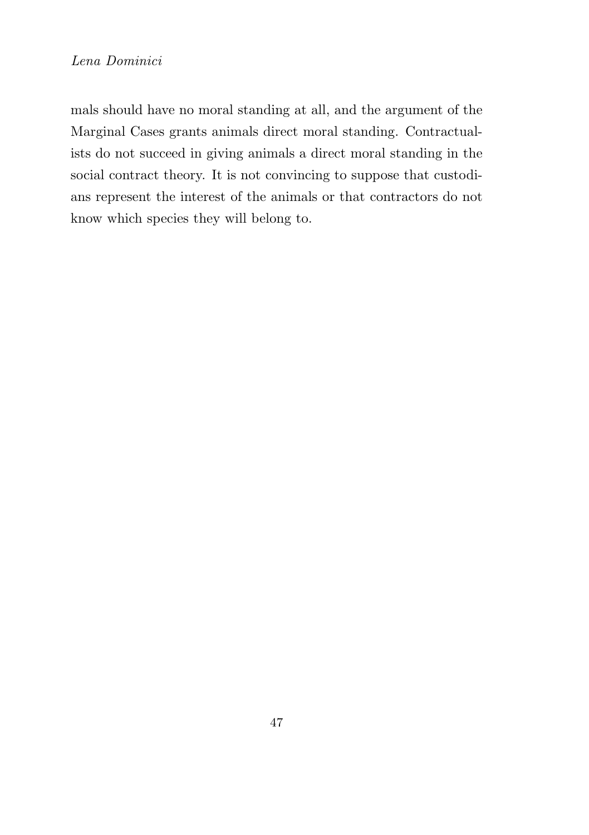mals should have no moral standing at all, and the argument of the Marginal Cases grants animals direct moral standing. Contractualists do not succeed in giving animals a direct moral standing in the social contract theory. It is not convincing to suppose that custodians represent the interest of the animals or that contractors do not know which species they will belong to.